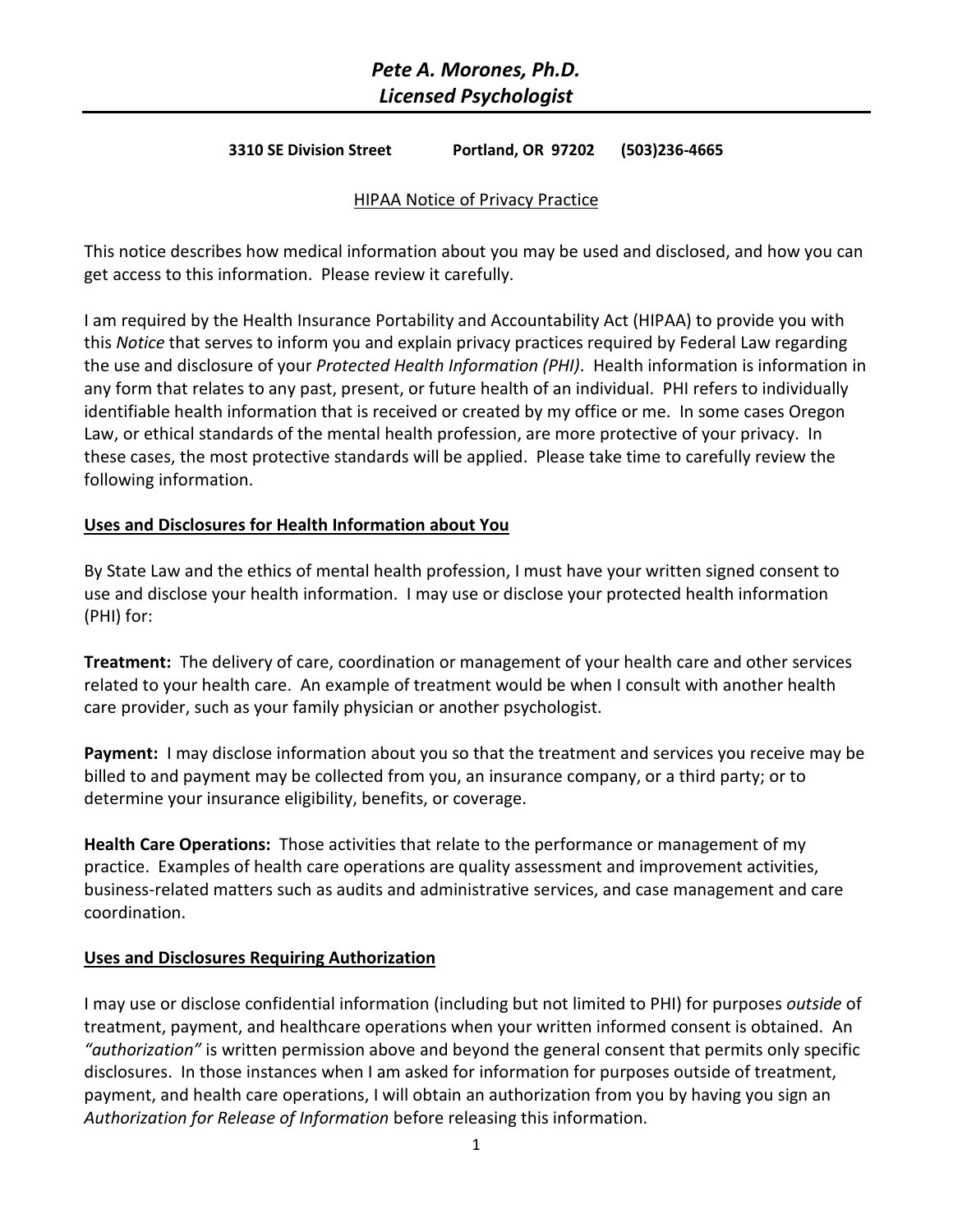# *Pete A. Morones, Ph.D. Licensed Psychologist*

#### **3310 SE Division Street Portland, OR 97202 (503)236-4665**

#### HIPAA Notice of Privacy Practice

This notice describes how medical information about you may be used and disclosed, and how you can get access to this information. Please review it carefully.

I am required by the Health Insurance Portability and Accountability Act (HIPAA) to provide you with this *Notice* that serves to inform you and explain privacy practices required by Federal Law regarding the use and disclosure of your *Protected Health Information (PHI)*. Health information is information in any form that relates to any past, present, or future health of an individual. PHI refers to individually identifiable health information that is received or created by my office or me. In some cases Oregon Law, or ethical standards of the mental health profession, are more protective of your privacy. In these cases, the most protective standards will be applied. Please take time to carefully review the following information.

#### **Uses and Disclosures for Health Information about You**

By State Law and the ethics of mental health profession, I must have your written signed consent to use and disclose your health information. I may use or disclose your protected health information (PHI) for:

**Treatment:** The delivery of care, coordination or management of your health care and other services related to your health care. An example of treatment would be when I consult with another health care provider, such as your family physician or another psychologist.

**Payment:** I may disclose information about you so that the treatment and services you receive may be billed to and payment may be collected from you, an insurance company, or a third party; or to determine your insurance eligibility, benefits, or coverage.

**Health Care Operations:** Those activities that relate to the performance or management of my practice. Examples of health care operations are quality assessment and improvement activities, business-related matters such as audits and administrative services, and case management and care coordination.

#### **Uses and Disclosures Requiring Authorization**

I may use or disclose confidential information (including but not limited to PHI) for purposes *outside* of treatment, payment, and healthcare operations when your written informed consent is obtained. An *"authorization"* is written permission above and beyond the general consent that permits only specific disclosures. In those instances when I am asked for information for purposes outside of treatment, payment, and health care operations, I will obtain an authorization from you by having you sign an *Authorization for Release of Information* before releasing this information.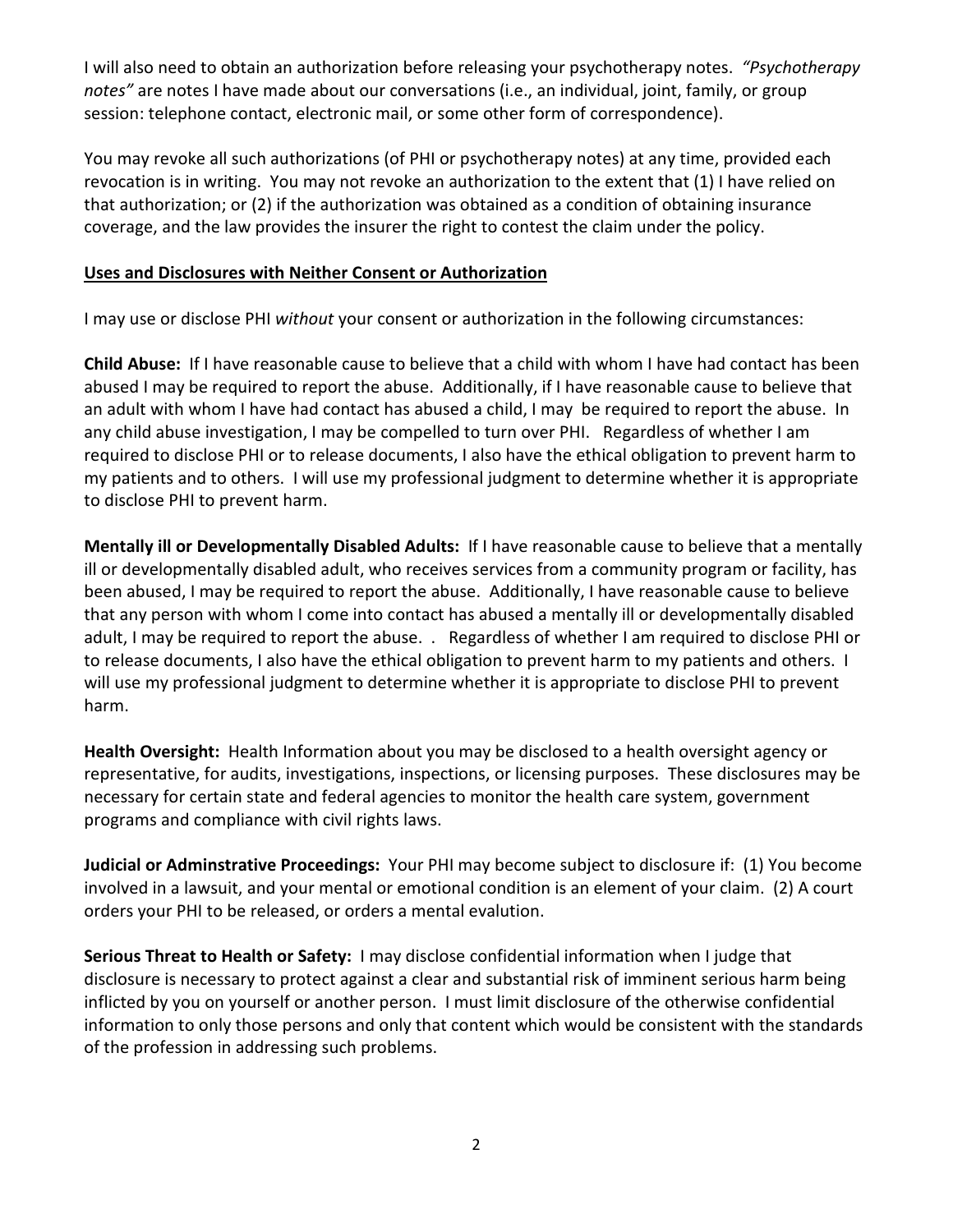I will also need to obtain an authorization before releasing your psychotherapy notes. *"Psychotherapy notes"* are notes I have made about our conversations (i.e., an individual, joint, family, or group session: telephone contact, electronic mail, or some other form of correspondence).

You may revoke all such authorizations (of PHI or psychotherapy notes) at any time, provided each revocation is in writing. You may not revoke an authorization to the extent that (1) I have relied on that authorization; or (2) if the authorization was obtained as a condition of obtaining insurance coverage, and the law provides the insurer the right to contest the claim under the policy.

## **Uses and Disclosures with Neither Consent or Authorization**

I may use or disclose PHI *without* your consent or authorization in the following circumstances:

**Child Abuse:** If I have reasonable cause to believe that a child with whom I have had contact has been abused I may be required to report the abuse. Additionally, if I have reasonable cause to believe that an adult with whom I have had contact has abused a child, I may be required to report the abuse. In any child abuse investigation, I may be compelled to turn over PHI. Regardless of whether I am required to disclose PHI or to release documents, I also have the ethical obligation to prevent harm to my patients and to others. I will use my professional judgment to determine whether it is appropriate to disclose PHI to prevent harm.

**Mentally ill or Developmentally Disabled Adults:** If I have reasonable cause to believe that a mentally ill or developmentally disabled adult, who receives services from a community program or facility, has been abused, I may be required to report the abuse. Additionally, I have reasonable cause to believe that any person with whom I come into contact has abused a mentally ill or developmentally disabled adult, I may be required to report the abuse. . Regardless of whether I am required to disclose PHI or to release documents, I also have the ethical obligation to prevent harm to my patients and others. I will use my professional judgment to determine whether it is appropriate to disclose PHI to prevent harm.

**Health Oversight:** Health Information about you may be disclosed to a health oversight agency or representative, for audits, investigations, inspections, or licensing purposes. These disclosures may be necessary for certain state and federal agencies to monitor the health care system, government programs and compliance with civil rights laws.

**Judicial or Adminstrative Proceedings:** Your PHI may become subject to disclosure if: (1) You become involved in a lawsuit, and your mental or emotional condition is an element of your claim. (2) A court orders your PHI to be released, or orders a mental evalution.

**Serious Threat to Health or Safety:** I may disclose confidential information when I judge that disclosure is necessary to protect against a clear and substantial risk of imminent serious harm being inflicted by you on yourself or another person. I must limit disclosure of the otherwise confidential information to only those persons and only that content which would be consistent with the standards of the profession in addressing such problems.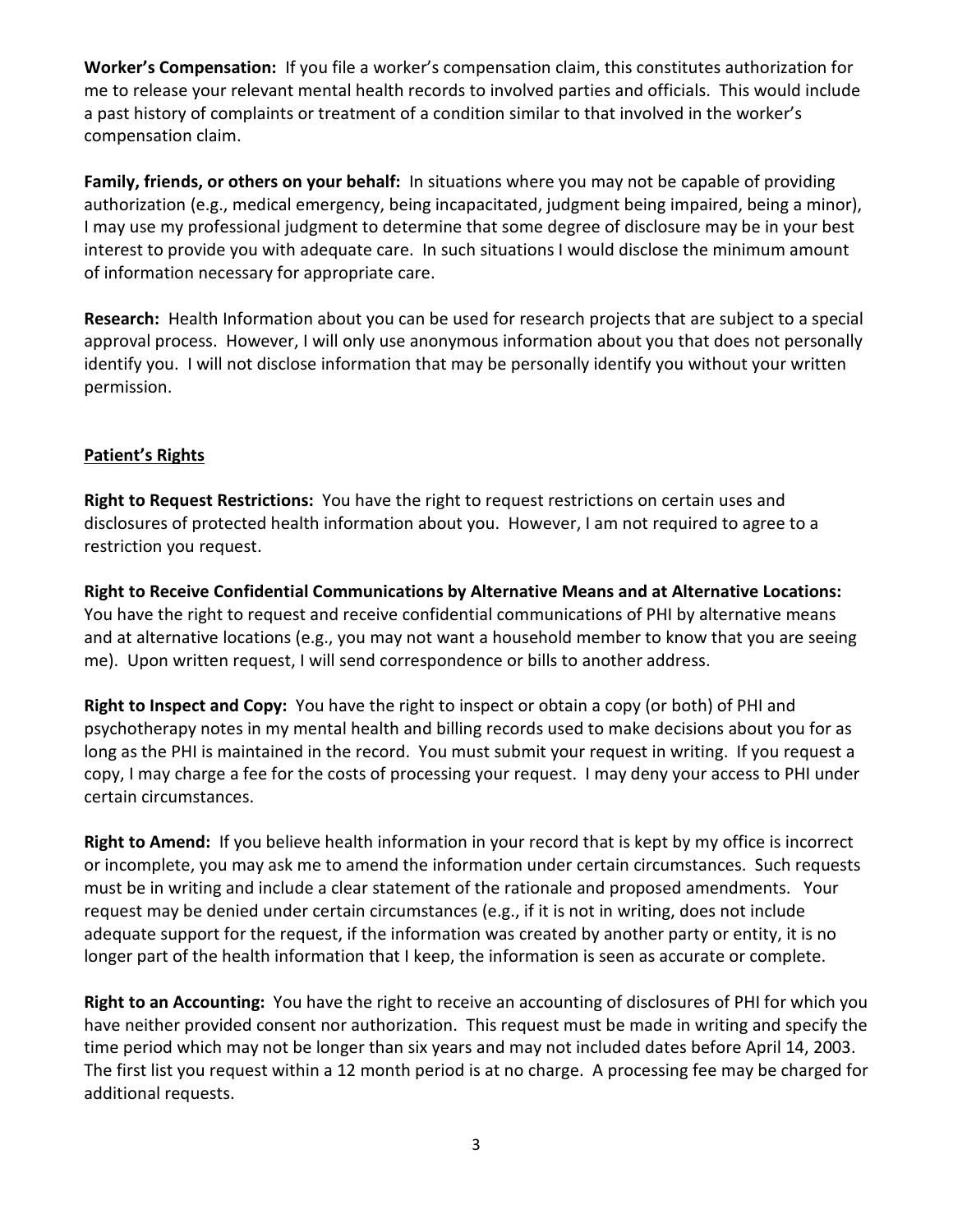**Worker's Compensation:** If you file a worker's compensation claim, this constitutes authorization for me to release your relevant mental health records to involved parties and officials. This would include a past history of complaints or treatment of a condition similar to that involved in the worker's compensation claim.

**Family, friends, or others on your behalf:** In situations where you may not be capable of providing authorization (e.g., medical emergency, being incapacitated, judgment being impaired, being a minor), I may use my professional judgment to determine that some degree of disclosure may be in your best interest to provide you with adequate care. In such situations I would disclose the minimum amount of information necessary for appropriate care.

**Research:** Health Information about you can be used for research projects that are subject to a special approval process. However, I will only use anonymous information about you that does not personally identify you. I will not disclose information that may be personally identify you without your written permission.

# **Patient's Rights**

**Right to Request Restrictions:** You have the right to request restrictions on certain uses and disclosures of protected health information about you. However, I am not required to agree to a restriction you request.

**Right to Receive Confidential Communications by Alternative Means and at Alternative Locations:**  You have the right to request and receive confidential communications of PHI by alternative means and at alternative locations (e.g., you may not want a household member to know that you are seeing me). Upon written request, I will send correspondence or bills to another address.

**Right to Inspect and Copy:** You have the right to inspect or obtain a copy (or both) of PHI and psychotherapy notes in my mental health and billing records used to make decisions about you for as long as the PHI is maintained in the record. You must submit your request in writing. If you request a copy, I may charge a fee for the costs of processing your request. I may deny your access to PHI under certain circumstances.

**Right to Amend:** If you believe health information in your record that is kept by my office is incorrect or incomplete, you may ask me to amend the information under certain circumstances. Such requests must be in writing and include a clear statement of the rationale and proposed amendments. Your request may be denied under certain circumstances (e.g., if it is not in writing, does not include adequate support for the request, if the information was created by another party or entity, it is no longer part of the health information that I keep, the information is seen as accurate or complete.

**Right to an Accounting:** You have the right to receive an accounting of disclosures of PHI for which you have neither provided consent nor authorization. This request must be made in writing and specify the time period which may not be longer than six years and may not included dates before April 14, 2003. The first list you request within a 12 month period is at no charge. A processing fee may be charged for additional requests.